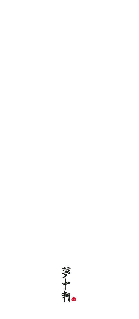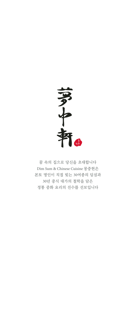

꿈 속의 집으로 당신을 초대합니다 Dim Sum & Chinese Cuisine 몽중헌은 본토 명인이 직접 빚는 30여종의 딤섬과 30년 중식 대가의 철학을 담은 정통 중화 요리의 진수를 선보입니다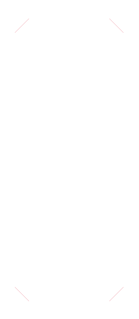





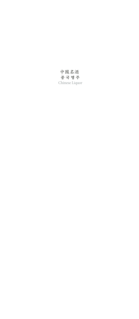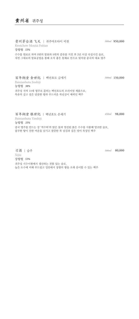### 貴州省 귀주성

贵州茅台酒 飞天 | 귀주마오타이 비천 Kweichow Moutai Feitian 장향형 *53%*  수수를 원료로 하여 8번의 발효와 9번의 증류를 거친 후 3년 이상 숙성시킨 술로, 자연 그대로의 발효공법을 통해 오직 좋은 원재료 만으로 빚어낸 중국의 대표 명주 950,000 *500ml*

150,000 *500ml*

百年糊塗 金世纪 | 백년호도 금세기 Bainianhutu Jinshiji 농향형 *38%*  귀주성 지역 10대 명주로 꼽히는 백년호도의 프리미엄 제품으로, 특유의 깊고 짙은 달콤한 향과 부드러운 목넘김이 매력인 백주

百年糊塗 银世纪 | 백년호도 은세기 Bainianhutu Yinshiji 농향형 *33%*  중국 명주를 만드는 강 '적수하'의 맑은 물과 엄선된 붉은 수수를 사용해 양조한 술로, 풍부한 향이 진한 여운을 남기고 깔끔한 목 넘김과 깊은 맛이 특징인 백주 98,000 *450ml* 

习酒 | 습주 Xijiu 장향형 *53%*  귀주성 시수이현에서 생산하는 전통 있는 술로, 높은 도수에 비해 부드럽고 입안에서 장향의 향을 오래 음미할 수 있는 백주 80,000 *500ml*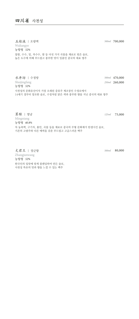五粮液 | 오량액 Wuliangye 농향형 *52%* 찹쌀, 수수, 밀, 옥수수, 쌀 등 다섯 가지 곡물을 재료로 빚은 술로, 높은 도수에 비해 부드럽고 풍부한 맛이 일품인 중국의 대표 명주 水井坊 | 수정방 Shuijingfang 농향형 *52%* 사천성의 문화유산이자 가장 오래된 증류주 제조장인 수정로에서 14세기 경부터 양조한 술로, 수정처럼 맑은 색과 풍부한 향을 지닌 중국의 대표 명주 700,000 *500ml* 470,000 *500ml* 260,000 *250ml*

茗酿 | 명냥 Mingniang 농향형 *40.8%* 차 농축액, 구기자, 용안, 곡물 등을 재료로 중국의 무형 문화재가 탄생시킨 술로, 기존의 고량주와 다른 매력을 갖춘 부드럽고 고급스러운 백주 75,000 *125ml*

丈君王 | 장군왕 Zhangjunwang 농향형 *52%* 한국인의 입맛에 맞게 블렌딩하여 만든 술로, 사천성 특유의 맛과 향을 느낄 수 있는 백주 80,000 *500ml*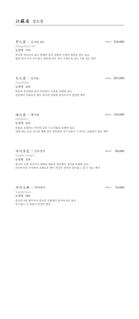梦之蓝 | 몽지람 M3 Mengzhilan M3 농향형 *52%* 바다와 하늘보다 넓고 원대한 꿈의 실현과 인생의 희망을 담은 술로, 향과 맛이 아주 부드럽고 혀끝에 깊은 맛이 오래도록 남는 기품 있는 백주 520,000 *500ml*

天之蓝 | 천지람 Tianzhilan 농향형 *42%* 하늘의 푸른빛을 담아 비상하는 마음을 표현한 술로, 입안에서 조화로운 향이 퍼지며 달콤한 끝마무리가 깔끔한 백주

海之蓝 | 해지람 Haizhilan 농향형 *42%* 만물을 포용하는 바다와 같은 너그러움을 표현한 술로, 입에 대는 순간 실크와 벨벳 같은 편안함과 부드러움이 느껴지는 균형감이 좋은 백주 150,000 *480ml* 

285,000 *480ml*

洋河青瓷 | 양하청자 Yanghe Qingci 농향형 *52%*  중국의 오랜 역사이자 세련된 예술의 결정체인 청자를 표현한 술로, 은은하지만 우아하며 조화로운 향이 특징인 천연의 풍미를 느낄 수 있는 백주 90,000 *480ml* 

洋河大曲 | 양하대곡 Yanghedaqu 농향형 *38%*  중국의 8대 명주이자 중국의 건륭제가 즐겨마시던 술로, 부드럽고 긴 여운이 특징인 백주 70,000 *500ml*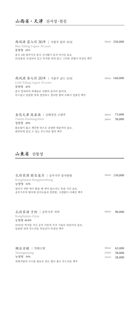西凤酒 蓝七彩 30年 | 서봉주 블루 30년 Blue Xifeng Liquor 30 years 봉향형 *45*% 중국 4대 명주이자 중국 진시황이 즐겨 마시던 술로, 30년동안 숙성되어 깊고 묵직한 맛과 맑고 그윽한 잔향이 특징인 백주 250,000 *500ml*

西凤酒 金七彩 20年 | 서봉주 골드 20년 Gold Xifeng Liquor 20 years 봉향형 *45%* 중국 양귀비의 최애술로 여왕의 술이라 불리며, 부드럽고 달콤한 맛과 깔끔하고 청아한 향의 조화가 일품인 백주 160,000 *500ml*

| 金花天津 高粱酒  금화천진 고량주           |              | 560ml 75,000 |
|------------------------------|--------------|--------------|
| Tianjin Kaoliangchiew        | 280ml 38,000 |              |
| 첫향형 49%                      |              |              |
| 불수물이 없고 깨끗한 맛으로 유명한 대중적인 술로. |              |              |
| 편안하게 즐길 수 있는 부드러운 향의 백주      |              |              |

## 山東省 산동성

| 孔府家酒 朋自遠方  공부가주 붕자원방<br>Kongfujiajiu Bungjawonbang<br>농향형 52%<br>멀리서 귀한 벗이 왔을 때 내어 놓는다는 뜻을 가진 술로.<br>공부가주의 향미에 감미로움과 깔끔함. 시원함이 더해진 백주 |                         | 500ml 150,000              |
|---------------------------------------------------------------------------------------------------------------------------------------|-------------------------|----------------------------|
| 孔府家酒 子約  공부가주 자약<br>Kongfujiajiu Ziyue<br>농향형 40.8%<br>2000년 역사를 지닌 공자 가문의 주조 기술로 만들어진 술로.<br>달콤한 맛과 부드러운 목넘김이 특징인 백주                 | 500ml                   | 90,000                     |
| 烟台古酿   연태고량<br>Yantaiguniang<br>농향형 34%                                                                                               | 500ml<br>250ml<br>125ml | 65,000<br>38,000<br>28,000 |

연태지방의 수수를 원료로 만든 향이 좋고 부드러운 백주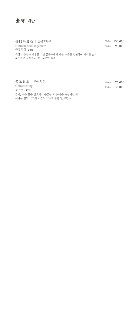## 臺灣 대만

金門高粱酒 | 금문고량주 Kinmen Kaoliangchiew 금문향형 *58%* 최상의 수질과 기후를 가진 금문도에서 자란 수수를 엄선하여 제조한 술로, 부드럽고 감미로운 맛이 우수한 백주 150,000 *600ml* 90,000 *300ml*

竹葉靑酒 | 죽엽청주 Chuyehching 보건주 *45%* 쌀겨, 수수 등을 발효시켜 증류한 후 10년을 숙성시킨 뒤, 대나무 잎과 10가지 이상의 약초로 향을 낸 보건주 75,000 *500ml* 38,000 *250ml*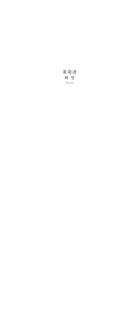葡萄酒 와 인 Wine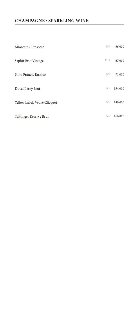### **CHAMPAGNE · SPARKLING WINE**

| Mionetto / Prosecco          |      | NV 56,000 |
|------------------------------|------|-----------|
| Saphir Brut Vintage          | 2018 | 67,000    |
| Nino Franco, Rustico         | NV   | 71,000    |
| Duval Leroy Brut             | NV   | 134,000   |
| Yellow Label, Veuve Clicquot | NV   | 140,000   |
| Taittinger Reserve Brut      | NV . | 166,000   |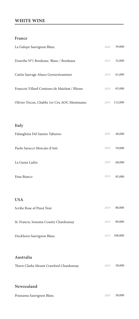### **WHITE WINE**

#### **France**

| La Galope Sauvignon Blanc                      | 2020 | 39,000  |
|------------------------------------------------|------|---------|
| Dourthe N°1 Bordeaux Blanc / Bordeaux          | 2019 | 52,000  |
| Cattin Sauvage Alsace Gewurztraminer           | 2019 | 61,000  |
| Francois Villard Contours de Mairlant / Rhone  | 2018 | 83,000  |
| Olivier Tricon, Chablis 1 er Cru AOC Montmains | 2016 | 112,000 |

# **Italy**

| Falanghina Del Sannio Taburno          | 2020 | 48,000  |
|----------------------------------------|------|---------|
| Paolo Saracco Moscato d'Asti           | 2020 | 59,000  |
| La Gazza Ladra                         | 2020 | 68,000  |
| Etna Bianco                            | 2019 | 85,000  |
| <b>USA</b>                             |      |         |
| Scribe Rose of Pinot Noir              | 2019 | 88,000  |
| St. Francis, Sonoma County Chardonnay  | 2019 | 89,000  |
| Duckhorn Sauvignon Blanc               | 2019 | 108,000 |
| Australia                              |      |         |
| Thorn Clarke Mount Crawford Chardonnay | 2018 | 58,000  |
|                                        |      |         |

## **Newzealand**

| Pounamu Sauvignon Blanc | 2020 58,000 |
|-------------------------|-------------|
|                         |             |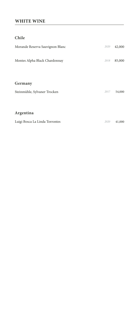# **WHITE WINE**

### **Chile**

| Morande Reserva Sauvignon Blanc | 2020 | 42,000 |
|---------------------------------|------|--------|
| Montes Alpha Black Chardonnay   | 2018 | 85,000 |
| Germany                         |      |        |
| Steinmühle, Sylvaner Trocken    | 2017 | 54,000 |
| Argentina                       |      |        |
| Luigi Bosca La Linda Torrontes  | 2020 | 41,000 |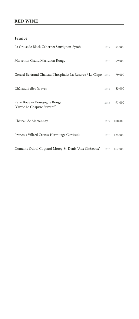### **France**

| La Croisade Black Cabernet Sauvignon-Syrah                      | 2019 | 54,000  |
|-----------------------------------------------------------------|------|---------|
| Marrenon Grand Marrenon Rouge                                   | 2018 | 59,000  |
| Gerard Bertrand Chateau L'hospitalet La Reserve / La Clape 2019 |      | 79,000  |
| Château Belles Graves                                           | 2014 | 83,000  |
| René Bouvier Bourgogne Rouge<br>"Cuvée Le Chapitre Suivant"     | 2018 | 91,000  |
| Château de Marsannay                                            | 2014 | 100,000 |
| Francois Villard Crozes-Hermitage Certitude                     | 2018 | 125,000 |
| Domaine Odoul Coquard Morey-St-Denis "Aux Chéseaux"             | 2016 | 167,000 |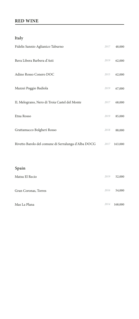# **Italy**

| Fidelis Sannio Aglianico Taburno                    | 2017 | 48,000  |
|-----------------------------------------------------|------|---------|
| Bava Libera Barbera d'Asti                          | 2019 | 62,000  |
| Adino Rosso Conero DOC                              | 2015 | 62,000  |
| Mazzei Poggio Badiola                               | 2019 | 67,000  |
| IL Melograno, Nero di Troia Castel del Monte        | 2017 | 68,000  |
| Etna Rosso                                          | 2019 | 85,000  |
| Grattamacco Bolgheri Rosso                          | 2018 | 88,000  |
| Rivetto Barolo del comune di Serralunga d'Alba DOCG | 2017 | 163,000 |

# **Spain**

| Matsu El Recio       | 2019 | 52,000  |
|----------------------|------|---------|
| Gran Coronas, Torres | 2016 | 54,000  |
| Mas La Plana         | 2014 | 168,000 |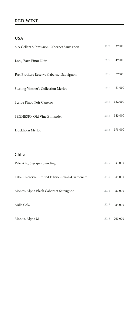## **USA**

| 689 Cellars Submission Cabernet Sauvignon | 2018 | 39,000  |
|-------------------------------------------|------|---------|
| Long Barn Pinot Noir                      | 2019 | 49,000  |
| Frei Brothers Reserve Cabernet Sauvignon  | 2017 | 79,000  |
| Sterling Vintner's Collection Merlot      | 2018 | 81,000  |
| Scribe Pinot Noir Caneros                 | 2018 | 122,000 |
| SEGHESIO, Old Vine Zinfandel              | 2016 | 143,000 |
| Duckhorn Merlot                           | 2018 | 198,000 |

### **Chile**

| Palo Alto, 3 grapes blending                    | 2019 | 33,000  |
|-------------------------------------------------|------|---------|
| Tabali, Reserva Limited Edition Syrah-Carmenere | 2018 | 49,000  |
| Montes Alpha Black Cabernet Sauvignon           | 2018 | 82,000  |
| Milla Cala                                      | 2017 | 85,000  |
| Montes Alpha M                                  | 2018 | 260,000 |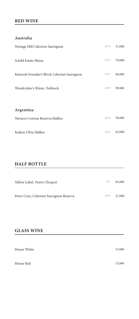| Australia                                  |      |        |
|--------------------------------------------|------|--------|
| Nottage Hill Cabernet Sauvignon            | 2019 | 31,000 |
| Schild Estate Shiraz                       | 2017 | 79,000 |
| Katnook Founder's Block Cabernet Sauvignon | 2015 | 80,000 |
| Woodcutter's Shiraz, Torbreck              | 2019 | 99,000 |
| Argentina                                  |      |        |
| Navarro Correas Reserva Malbec             | 2018 | 50,000 |
| Kaiken Ultra Malbec                        | 2018 | 63,000 |

## **HALF BOTTLE**

| Yellow Label, Veuve Clicquot           | NV - | 85,000 |
|----------------------------------------|------|--------|
| Perez Cruz, Cabernet Sauvignon Reserva | 2018 | 27,000 |

## **GLASS WINE**

| House White | 15,000 |
|-------------|--------|
| House Red   | 15,000 |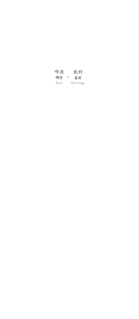| 啤酒   |   | 飲料       |
|------|---|----------|
| 맥주   | ٠ | 음료       |
| Beer |   | Beverage |